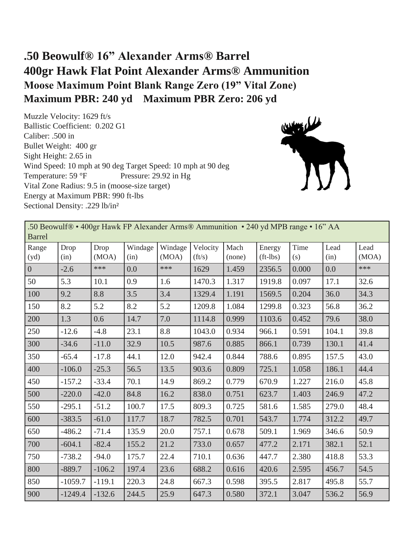## **.50 Beowulf® 16" Alexander Arms® Barrel 400gr Hawk Flat Point Alexander Arms® Ammunition Moose Maximum Point Blank Range Zero (19" Vital Zone) Maximum PBR: 240 yd Maximum PBR Zero: 206 yd**

Muzzle Velocity: 1629 ft/s Ballistic Coefficient: 0.202 G1 Caliber: .500 in Bullet Weight: 400 gr Sight Height: 2.65 in Wind Speed: 10 mph at 90 deg Target Speed: 10 mph at 90 deg Temperature: 59 °F Pressure: 29.92 in Hg Vital Zone Radius: 9.5 in (moose-size target) Energy at Maximum PBR: 990 ft-lbs Sectional Density: .229 lb/in²



| .50 Beowulf® • 400gr Hawk FP Alexander Arms® Ammunition • 240 yd MPB range • 16" AA<br><b>Barrel</b> |              |               |                 |                  |                            |                |                      |             |              |               |  |
|------------------------------------------------------------------------------------------------------|--------------|---------------|-----------------|------------------|----------------------------|----------------|----------------------|-------------|--------------|---------------|--|
| Range<br>(yd)                                                                                        | Drop<br>(in) | Drop<br>(MOA) | Windage<br>(in) | Windage<br>(MOA) | Velocity<br>$({\rm ft/s})$ | Mach<br>(none) | Energy<br>$(ft-lbs)$ | Time<br>(s) | Lead<br>(in) | Lead<br>(MOA) |  |
| $\overline{0}$                                                                                       | $-2.6$       | ***           | 0.0             | ***              | 1629                       | 1.459          | 2356.5               | 0.000       | 0.0          | ***           |  |
| 50                                                                                                   | 5.3          | 10.1          | 0.9             | 1.6              | 1470.3                     | 1.317          | 1919.8               | 0.097       | 17.1         | 32.6          |  |
| 100                                                                                                  | 9.2          | 8.8           | 3.5             | 3.4              | 1329.4                     | 1.191          | 1569.5               | 0.204       | 36.0         | 34.3          |  |
| 150                                                                                                  | 8.2          | 5.2           | 8.2             | 5.2              | 1209.8                     | 1.084          | 1299.8               | 0.323       | 56.8         | 36.2          |  |
| 200                                                                                                  | 1.3          | 0.6           | 14.7            | 7.0              | 1114.8                     | 0.999          | 1103.6               | 0.452       | 79.6         | 38.0          |  |
| 250                                                                                                  | $-12.6$      | $-4.8$        | 23.1            | 8.8              | 1043.0                     | 0.934          | 966.1                | 0.591       | 104.1        | 39.8          |  |
| 300                                                                                                  | $-34.6$      | $-11.0$       | 32.9            | 10.5             | 987.6                      | 0.885          | 866.1                | 0.739       | 130.1        | 41.4          |  |
| 350                                                                                                  | $-65.4$      | $-17.8$       | 44.1            | 12.0             | 942.4                      | 0.844          | 788.6                | 0.895       | 157.5        | 43.0          |  |
| 400                                                                                                  | $-106.0$     | $-25.3$       | 56.5            | 13.5             | 903.6                      | 0.809          | 725.1                | 1.058       | 186.1        | 44.4          |  |
| 450                                                                                                  | $-157.2$     | $-33.4$       | 70.1            | 14.9             | 869.2                      | 0.779          | 670.9                | 1.227       | 216.0        | 45.8          |  |
| 500                                                                                                  | $-220.0$     | $-42.0$       | 84.8            | 16.2             | 838.0                      | 0.751          | 623.7                | 1.403       | 246.9        | 47.2          |  |
| 550                                                                                                  | $-295.1$     | $-51.2$       | 100.7           | 17.5             | 809.3                      | 0.725          | 581.6                | 1.585       | 279.0        | 48.4          |  |
| 600                                                                                                  | $-383.5$     | $-61.0$       | 117.7           | 18.7             | 782.5                      | 0.701          | 543.7                | 1.774       | 312.2        | 49.7          |  |
| 650                                                                                                  | $-486.2$     | $-71.4$       | 135.9           | 20.0             | 757.1                      | 0.678          | 509.1                | 1.969       | 346.6        | 50.9          |  |
| 700                                                                                                  | $-604.1$     | $-82.4$       | 155.2           | 21.2             | 733.0                      | 0.657          | 477.2                | 2.171       | 382.1        | 52.1          |  |
| 750                                                                                                  | $-738.2$     | $-94.0$       | 175.7           | 22.4             | 710.1                      | 0.636          | 447.7                | 2.380       | 418.8        | 53.3          |  |
| 800                                                                                                  | $-889.7$     | $-106.2$      | 197.4           | 23.6             | 688.2                      | 0.616          | 420.6                | 2.595       | 456.7        | 54.5          |  |
| 850                                                                                                  | $-1059.7$    | $-119.1$      | 220.3           | 24.8             | 667.3                      | 0.598          | 395.5                | 2.817       | 495.8        | 55.7          |  |
| 900                                                                                                  | $-1249.4$    | $-132.6$      | 244.5           | 25.9             | 647.3                      | 0.580          | 372.1                | 3.047       | 536.2        | 56.9          |  |